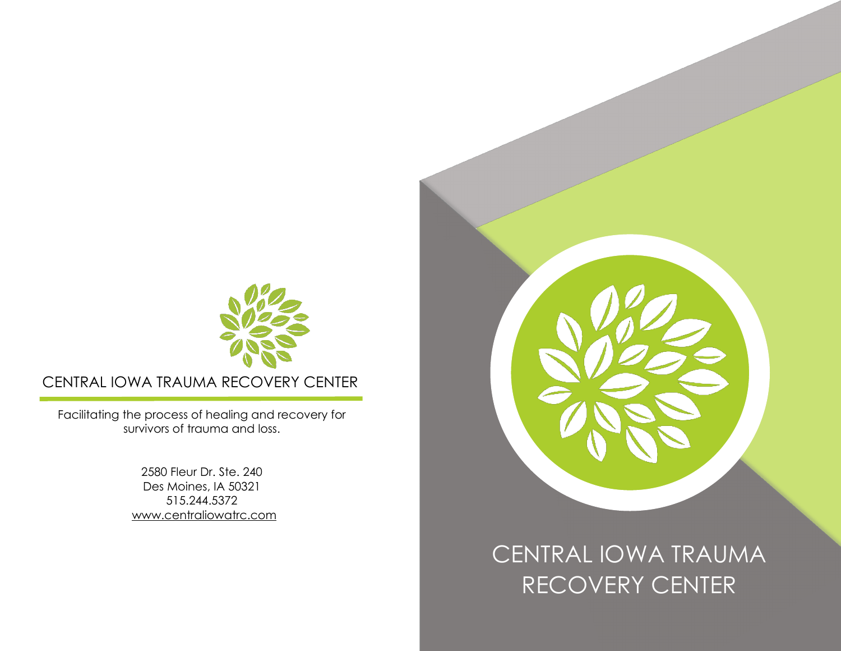

CENTRAL IOWA TRAUMA RECOVERY CENTER

Facilitating the process of healing and recovery for survivors of trauma and loss.

> 2580 Fleur Dr. Ste. 240 Des Moines, IA 50321 515.244.5372 [www.centraliowatrc.com](http://www.centraliowatrc.com/)



CENTRAL IOWA TRAUMA RECOVERY CENTER